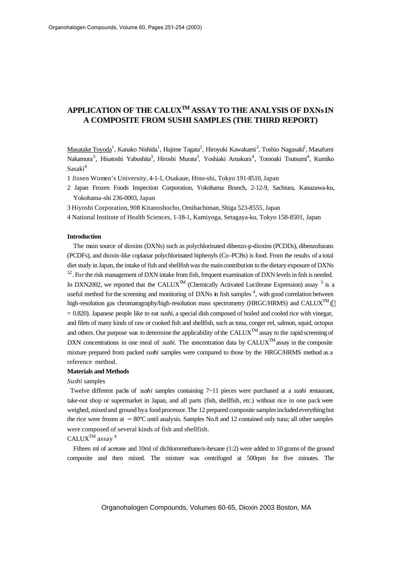# **APPLICATION OF THE CALUXTM ASSAY TO THE ANALYSIS OF DXNs IN A COMPOSITE FROM SUSHI SAMPLES (THE THIRD REPORT)**

Masatake Toyoda<sup>1</sup>, Kanako Nishida<sup>1</sup>, Hajime Tagata<sup>2</sup>, Hiroyuki Kawakami<sup>2</sup>, Toshio Nagasaki<sup>2</sup>, Masafumi Nakamura<sup>3</sup>, Hisatoshi Yabushita<sup>3</sup>, Hiroshi Murata<sup>3</sup>, Yoshiaki Amakura<sup>4</sup>, Tomoaki Tsutsumi<sup>4</sup>, Kumiko Sasaki<sup>4</sup>

1 Jissen Women's University, 4-1-1, Osakaue, Hino-shi, Tokyo 191-8510, Japan

2 Japan Frozen Foods Inspection Corporation, Yokohama Branch, 2-12-9, Sachiura, Kanazawa-ku, Yokohama-shi 236-0003, Japan

3 Hiyoshi Corporation, 908 Kitanoshocho, Omihachiman, Shiga 523-8555, Japan

4 National Institute of Health Sciences, 1-18-1, Kamiyoga, Setagaya-ku, Tokyo 158-8501, Japan

# **Introduction**

 The main source of dioxins (DXNs) such as polychlorinated dibenzo-p-dioxins (PCDDs), dibenzofurans (PCDFs), and dioxin-like coplanar polychlorinated biphenyls (Co-PCBs) is food. From the results of a total diet study in Japan, the intake of fish and shellfish was the main contribution to the dietary exposure of DXNs  $12$ . For the risk management of DXN intake from fish, frequent examination of DXN levels in fish is needed. In DXN2002, we reported that the CALUX<sup>TM</sup> (Chemically Activated Luciferase Expression) assay  $3$  is a useful method for the screening and monitoring of DXNs in fish samples  $4$ , with good correlation between high-resolution gas chromatography/high-resolution mass spectrometry (HRGC/HRMS) and CALUX<sup>TM</sup> ( = 0.820). Japanese people like to eat *sushi*, a special dish composed of boiled and cooled rice with vinegar, and filets of many kinds of raw or cooked fish and shellfish, such as tuna, conger eel, salmon, squid, octopus and others. Our purpose was to determine the applicability of the CALUX<sup>TM</sup> assay to the rapid screening of DXN concentrations in one meal of *sushi*. The concentration data by  $CALUX^{TM}$  assay in the composite mixture prepared from packed *sushi* samples were compared to those by the HRGC/HRMS method as a reference method.

### **Materials and Methods**

# *Sushi* samples

Twelve different packs of *sushi* samples containing 7~11 pieces were purchased at a *sushi* restaurant, take-out shop or supermarket in Japan, and all parts (fish, shellfish, etc.) without rice in one pack were weighed, mixed and ground by a food processor. The 12 prepared composite samples included everything but the rice were frozen at 80ºC until analysis. Samples No.8 and 12 contained only tuna; all other samples were composed of several kinds of fish and shellfish.

# $\mathrm{CALUX}^\mathrm{TM}$  assay  $^4$

Fifteen ml of acetone and 10ml of dichloromethane/n-hexane (1:2) were added to 10 grams of the ground composite and then mixed. The mixture was centrifuged at 500rpm for five minutes. The

Organohalogen Compounds, Volumes 60-65, Dioxin 2003 Boston, MA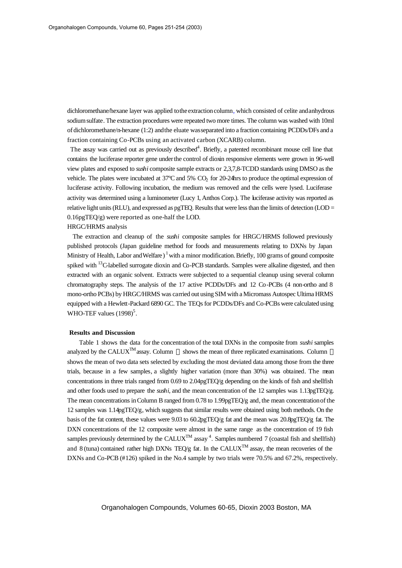dichloromethane/hexane layer was applied to the extraction column, which consisted of celite and anhydrous sodium sulfate. The extraction procedures were repeated two more times. The column was washed with 10ml of dichloromethane/n-hexane (1:2) and the eluate was separated into a fraction containing PCDDs/DFs and a fraction containing Co-PCBs using an activated carbon (XCARB) column.

The assay was carried out as previously described<sup>4</sup>. Briefly, a patented recombinant mouse cell line that contains the luciferase reporter gene underthe control of dioxin responsive elements were grown in 96-well view plates and exposed to *sushi* composite sample extracts or 2,3,7,8-TCDD standards using DMSO as the vehicle. The plates were incubated at  $37^{\circ}$ C and  $5\%$  CO<sub>2</sub> for 20-24hrs to produce the optimal expression of luciferase activity. Following incubation, the medium was removed and the cells were lysed. Luciferase activity was determined using a luminometer (Lucy 1, Anthos Corp.). The luciferase activity was reported as relative light units (RLU), and expressed as pgTEQ. Results that were less than the limits of detection (LOD = 0.16pgTEQ/g) were reported as one-half the LOD.

# HRGC/HRMS analysis

 The extraction and cleanup of the *sushi* composite samples for HRGC/HRMS followed previously published protocols (Japan guideline method for foods and measurements relating to DXNs by Japan Ministry of Health, Labor and Welfare  $)^{1}$  with a minor modification. Briefly, 100 grams of ground composite spiked with <sup>13</sup>C-labelled surrogate dioxin and Co-PCB standards. Samples were alkaline digested, and then extracted with an organic solvent. Extracts were subjected to a sequential cleanup using several column chromatography steps. The analysis of the 17 active PCDDs/DFs and 12 Co-PCBs (4 non-ortho and 8 mono-ortho PCBs) by HRGC/HRMS was carried out using SIM with a Micromass Autospec Ultima HRMS equipped with a Hewlett-Packard 6890 GC. The TEQs for PCDDs/DFs and Co-PCBs were calculated using WHO-TEF values  $(1998)^5$ .

# **Results and Discussion**

 Table 1 shows the data for the concentration of the total DXNs in the composite from *sushi* samples analyzed by the CALUX<sup>TM</sup> assay. Column shows the mean of three replicated examinations. Column shows the mean of two data sets selected by excluding the most deviated data among those from the three trials, because in a few samples, a slightly higher variation (more than 30%) was obtained. The mean concentrations in three trials ranged from 0.69 to 2.04pgTEQ/g depending on the kinds of fish and shellfish and other foods used to prepare the *sushi*, and the mean concentration of the 12 samples was 1.13pgTEQ/g. The mean concentrations in Column B ranged from 0.78 to 1.99pgTEQ/g and, the mean concentration of the 12 samples was 1.14pgTEQ/g, which suggests that similar results were obtained using both methods. On the basis of the fat content, these values were 9.03 to 60.2pgTEQ/g fat and the mean was 20.8pgTEQ/g fat. The DXN concentrations of the 12 composite were almost in the same range as the concentration of 19 fish samples previously determined by the CALUX<sup>TM</sup> assay <sup>4</sup>. Samples numbered 7 (coastal fish and shellfish) and 8 (tuna) contained rather high DXNs TEO/g fat. In the CALUX<sup>TM</sup> assay, the mean recoveries of the DXNs and Co-PCB (#126) spiked in the No.4 sample by two trials were 70.5% and 67.2%, respectively.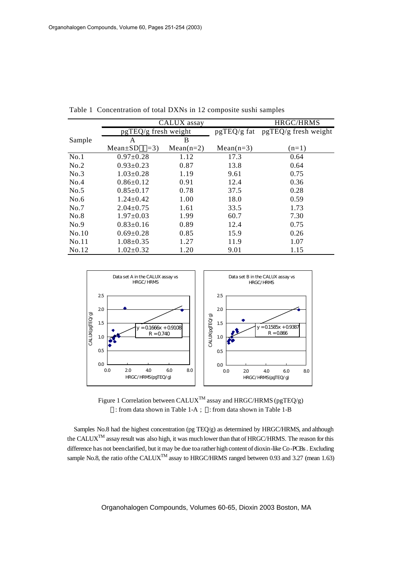|        | CALUX assay             |             |               | HRGC/HRMS              |
|--------|-------------------------|-------------|---------------|------------------------|
|        | pgTEQ/g fresh weight    |             | $pgTEQ/g$ fat | $pgTEQ/g$ fresh weight |
| Sample | A                       | B           |               |                        |
|        | $Mean \pm SD$<br>$=$ 3) | $Mean(n=2)$ | $Mean(n=3)$   | $(n=1)$                |
| No.1   | $0.97 \pm 0.28$         | 1.12        | 17.3          | 0.64                   |
| No.2   | $0.93 \pm 0.23$         | 0.87        | 13.8          | 0.64                   |
| No.3   | $1.03 \pm 0.28$         | 1.19        | 9.61          | 0.75                   |
| No.4   | $0.86 \pm 0.12$         | 0.91        | 12.4          | 0.36                   |
| No.5   | $0.85 \pm 0.17$         | 0.78        | 37.5          | 0.28                   |
| No.6   | $1.24 \pm 0.42$         | 1.00        | 18.0          | 0.59                   |
| No.7   | $2.04 \pm 0.75$         | 1.61        | 33.5          | 1.73                   |
| No.8   | $1.97 \pm 0.03$         | 1.99        | 60.7          | 7.30                   |
| No.9   | $0.83 \pm 0.16$         | 0.89        | 12.4          | 0.75                   |
| No.10  | $0.69 \pm 0.28$         | 0.85        | 15.9          | 0.26                   |
| No.11  | $1.08 \pm 0.35$         | 1.27        | 11.9          | 1.07                   |
| No.12  | $1.02 \pm 0.32$         | 1.20        | 9.01          | 1.15                   |

Table 1 Concentration of total DXNs in 12 composite sushi samples



Figure 1 Correlation between  $CALUX^{TM}$  assay and HRGC/HRMS (pgTEQ/g) : from data shown in Table 1-A; : from data shown in Table 1-B

Samples No.8 had the highest concentration (pg TEQ/g) as determined by HRGC/HRMS, and although the CALUX<sup>TM</sup> assay result was also high, it was much lower than that of HRGC/HRMS. The reason for this difference has not been clarified, but it may be due to a rather high content of dioxin-like Co-PCBs. Excluding sample No.8, the ratio of the CALUX<sup>TM</sup> assay to HRGC/HRMS ranged between 0.93 and 3.27 (mean 1.63)

Organohalogen Compounds, Volumes 60-65, Dioxin 2003 Boston, MA